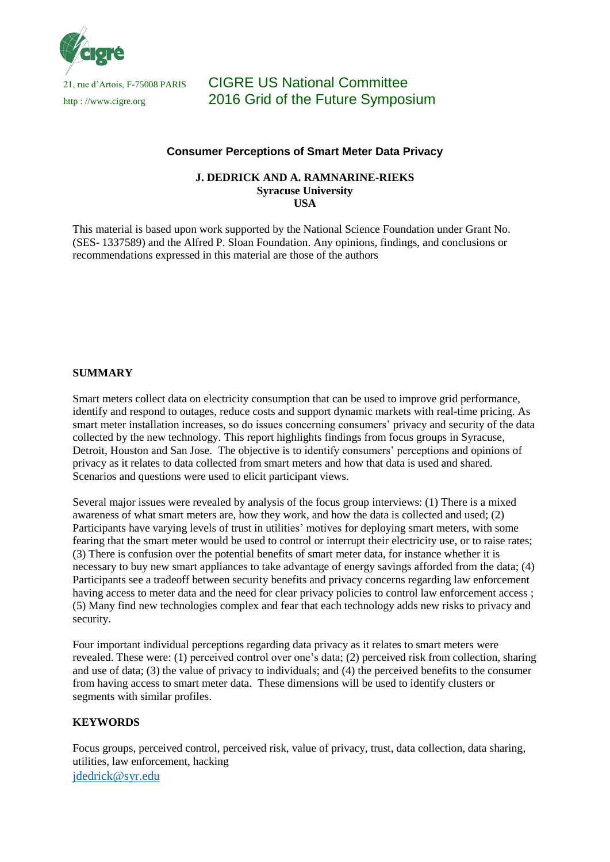

# 21, rue d'Artois, F-75008 PARIS CIGRE US National Committee http://www.cigre.org 2016 Grid of the Future Symposium

### **Consumer Perceptions of Smart Meter Data Privacy**

#### **J. DEDRICK AND A. RAMNARINE-RIEKS Syracuse University USA**

This material is based upon work supported by the National Science Foundation under Grant No. (SES- 1337589) and the Alfred P. Sloan Foundation. Any opinions, findings, and conclusions or recommendations expressed in this material are those of the authors

#### **SUMMARY**

Smart meters collect data on electricity consumption that can be used to improve grid performance, identify and respond to outages, reduce costs and support dynamic markets with real-time pricing. As smart meter installation increases, so do issues concerning consumers' privacy and security of the data collected by the new technology. This report highlights findings from focus groups in Syracuse, Detroit, Houston and San Jose. The objective is to identify consumers' perceptions and opinions of privacy as it relates to data collected from smart meters and how that data is used and shared. Scenarios and questions were used to elicit participant views.

Several major issues were revealed by analysis of the focus group interviews: (1) There is a mixed awareness of what smart meters are, how they work, and how the data is collected and used; (2) Participants have varying levels of trust in utilities' motives for deploying smart meters, with some fearing that the smart meter would be used to control or interrupt their electricity use, or to raise rates; (3) There is confusion over the potential benefits of smart meter data, for instance whether it is necessary to buy new smart appliances to take advantage of energy savings afforded from the data; (4) Participants see a tradeoff between security benefits and privacy concerns regarding law enforcement having access to meter data and the need for clear privacy policies to control law enforcement access; (5) Many find new technologies complex and fear that each technology adds new risks to privacy and security.

Four important individual perceptions regarding data privacy as it relates to smart meters were revealed. These were: (1) perceived control over one's data; (2) perceived risk from collection, sharing and use of data; (3) the value of privacy to individuals; and (4) the perceived benefits to the consumer from having access to smart meter data. These dimensions will be used to identify clusters or segments with similar profiles.

#### **KEYWORDS**

[jdedrick@syr.edu](mailto:jdedrick@syr.edu) Focus groups, perceived control, perceived risk, value of privacy, trust, data collection, data sharing, utilities, law enforcement, hacking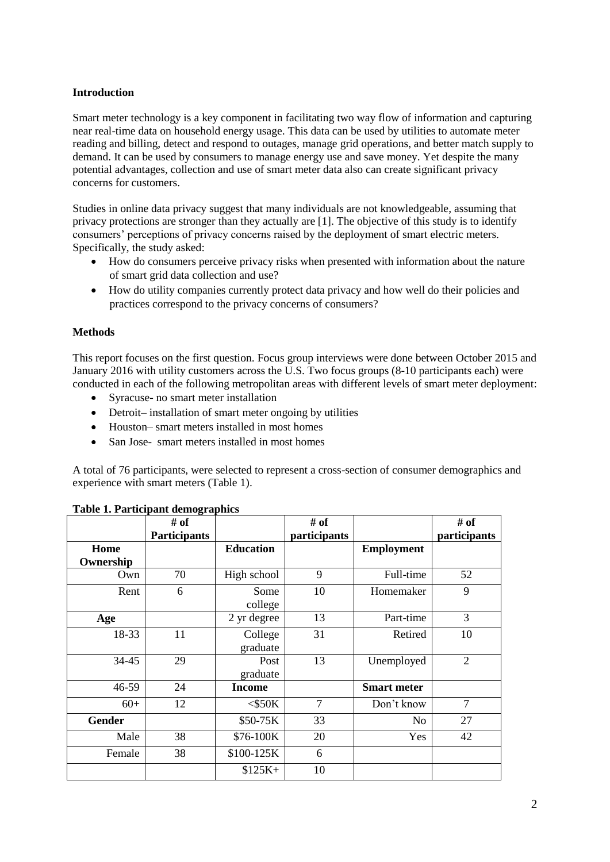### **Introduction**

Smart meter technology is a key component in facilitating two way flow of information and capturing near real-time data on household energy usage. This data can be used by utilities to automate meter reading and billing, detect and respond to outages, manage grid operations, and better match supply to demand. It can be used by consumers to manage energy use and save money. Yet despite the many potential advantages, collection and use of smart meter data also can create significant privacy concerns for customers.

Studies in online data privacy suggest that many individuals are not knowledgeable, assuming that privacy protections are stronger than they actually are [1]. The objective of this study is to identify consumers' perceptions of privacy concerns raised by the deployment of smart electric meters. Specifically, the study asked:

- How do consumers perceive privacy risks when presented with information about the nature of smart grid data collection and use?
- How do utility companies currently protect data privacy and how well do their policies and practices correspond to the privacy concerns of consumers?

### **Methods**

This report focuses on the first question. Focus group interviews were done between October 2015 and January 2016 with utility customers across the U.S. Two focus groups (8-10 participants each) were conducted in each of the following metropolitan areas with different levels of smart meter deployment:

- Syracuse- no smart meter installation
- Detroit– installation of smart meter ongoing by utilities
- Houston– smart meters installed in most homes
- San Jose- smart meters installed in most homes

A total of 76 participants, were selected to represent a cross-section of consumer demographics and experience with smart meters (Table 1).

|                   | o<br># of<br><b>Participants</b> |                     | $#$ of<br>participants |                    | $#$ of<br>participants |
|-------------------|----------------------------------|---------------------|------------------------|--------------------|------------------------|
| Home<br>Ownership |                                  | <b>Education</b>    |                        | <b>Employment</b>  |                        |
| Own               | 70                               | High school         | 9                      | Full-time          | 52                     |
| Rent              | 6                                | Some<br>college     | 10                     | Homemaker          | 9                      |
| Age               |                                  | 2 yr degree         | 13                     | Part-time          | 3                      |
| 18-33             | 11                               | College<br>graduate | 31                     | Retired            | 10                     |
| 34-45             | 29                               | Post<br>graduate    | 13                     | Unemployed         | $\overline{2}$         |
| 46-59             | 24                               | <b>Income</b>       |                        | <b>Smart meter</b> |                        |
| $60+$             | 12                               | $<$ \$50K           | $\overline{7}$         | Don't know         | $\overline{7}$         |
| <b>Gender</b>     |                                  | \$50-75K            | 33                     | No                 | 27                     |
| Male              | 38                               | \$76-100K           | 20                     | Yes                | 42                     |
| Female            | 38                               | \$100-125K          | 6                      |                    |                        |
|                   |                                  | $$125K+$            | 10                     |                    |                        |

#### **Table 1. Participant demographics**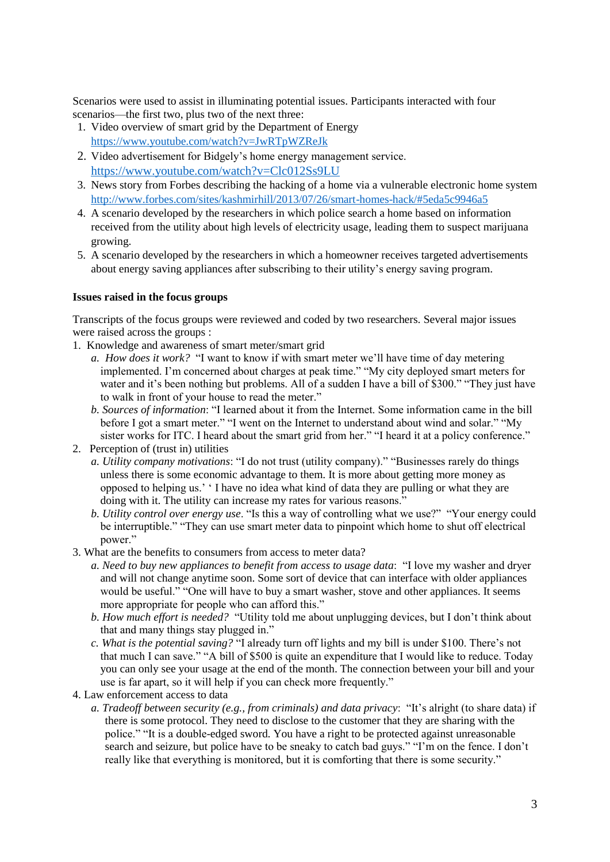Scenarios were used to assist in illuminating potential issues. Participants interacted with four scenarios—the first two, plus two of the next three:

- 1. Video overview of smart grid by the Department of Energy <https://www.youtube.com/watch?v=JwRTpWZReJk>
- 2. Video advertisement for Bidgely's home energy management service. <https://www.youtube.com/watch?v=Clc012Ss9LU>
- 3. News story from Forbes describing the hacking of a home via a vulnerable electronic home system <http://www.forbes.com/sites/kashmirhill/2013/07/26/smart-homes-hack/#5eda5c9946a5>
- 4. A scenario developed by the researchers in which police search a home based on information received from the utility about high levels of electricity usage, leading them to suspect marijuana growing.
- 5. A scenario developed by the researchers in which a homeowner receives targeted advertisements about energy saving appliances after subscribing to their utility's energy saving program.

#### **Issues raised in the focus groups**

Transcripts of the focus groups were reviewed and coded by two researchers. Several major issues were raised across the groups :

- 1. Knowledge and awareness of smart meter/smart grid
	- *a. How does it work?* "I want to know if with smart meter we'll have time of day metering implemented. I'm concerned about charges at peak time." "My city deployed smart meters for water and it's been nothing but problems. All of a sudden I have a bill of \$300." "They just have to walk in front of your house to read the meter."
	- *b. Sources of information*: "I learned about it from the Internet. Some information came in the bill before I got a smart meter." "I went on the Internet to understand about wind and solar." "My sister works for ITC. I heard about the smart grid from her." "I heard it at a policy conference."

2. Perception of (trust in) utilities

- *a. Utility company motivations*: "I do not trust (utility company)." "Businesses rarely do things unless there is some economic advantage to them. It is more about getting more money as opposed to helping us.' ' I have no idea what kind of data they are pulling or what they are doing with it. The utility can increase my rates for various reasons."
- *b. Utility control over energy use*. "Is this a way of controlling what we use?" "Your energy could be interruptible." "They can use smart meter data to pinpoint which home to shut off electrical power."
- 3. What are the benefits to consumers from access to meter data?
	- *a. Need to buy new appliances to benefit from access to usage data*: "I love my washer and dryer and will not change anytime soon. Some sort of device that can interface with older appliances would be useful." "One will have to buy a smart washer, stove and other appliances. It seems more appropriate for people who can afford this."
	- *b. How much effort is needed?* "Utility told me about unplugging devices, but I don't think about that and many things stay plugged in."
	- *c. What is the potential saving?* "I already turn off lights and my bill is under \$100. There's not that much I can save." "A bill of \$500 is quite an expenditure that I would like to reduce. Today you can only see your usage at the end of the month. The connection between your bill and your use is far apart, so it will help if you can check more frequently."
- 4. Law enforcement access to data
	- *a. Tradeoff between security (e.g., from criminals) and data privacy*: "It's alright (to share data) if there is some protocol. They need to disclose to the customer that they are sharing with the police." "It is a double-edged sword. You have a right to be protected against unreasonable search and seizure, but police have to be sneaky to catch bad guys." "I'm on the fence. I don't really like that everything is monitored, but it is comforting that there is some security."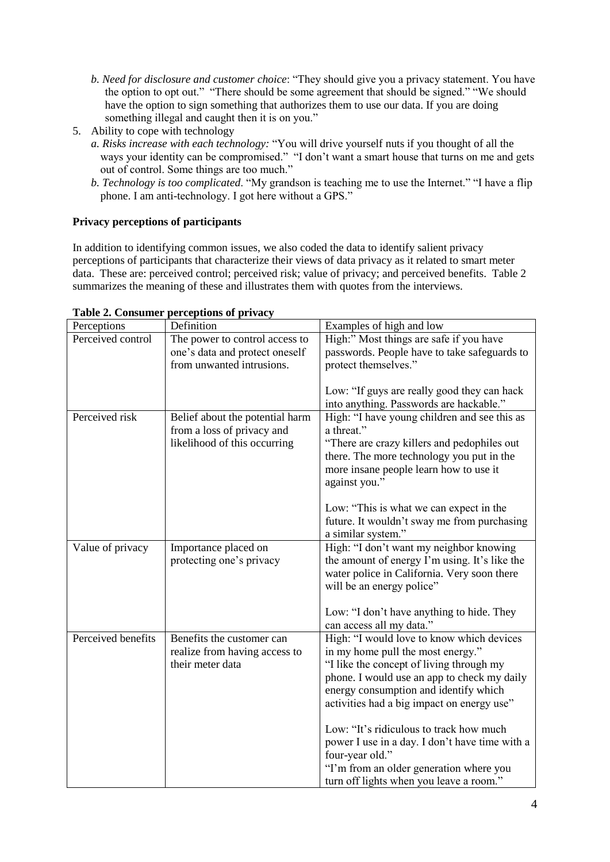- *b. Need for disclosure and customer choice*: "They should give you a privacy statement. You have the option to opt out." "There should be some agreement that should be signed." "We should have the option to sign something that authorizes them to use our data. If you are doing something illegal and caught then it is on you."
- 5. Ability to cope with technology
	- *a. Risks increase with each technology:* "You will drive yourself nuts if you thought of all the ways your identity can be compromised." "I don't want a smart house that turns on me and gets out of control. Some things are too much."
	- *b. Technology is too complicated*. "My grandson is teaching me to use the Internet." "I have a flip phone. I am anti-technology. I got here without a GPS."

## **Privacy perceptions of participants**

In addition to identifying common issues, we also coded the data to identify salient privacy perceptions of participants that characterize their views of data privacy as it related to smart meter data. These are: perceived control; perceived risk; value of privacy; and perceived benefits. Table 2 summarizes the meaning of these and illustrates them with quotes from the interviews.

| Perceptions        | Definition                                                    | Examples of high and low                                                               |  |  |
|--------------------|---------------------------------------------------------------|----------------------------------------------------------------------------------------|--|--|
| Perceived control  | The power to control access to                                | High:" Most things are safe if you have                                                |  |  |
|                    | one's data and protect oneself                                | passwords. People have to take safeguards to                                           |  |  |
|                    | from unwanted intrusions.                                     | protect themselves."                                                                   |  |  |
|                    |                                                               | Low: "If guys are really good they can hack<br>into anything. Passwords are hackable." |  |  |
| Perceived risk     | Belief about the potential harm<br>from a loss of privacy and | High: "I have young children and see this as<br>a threat."                             |  |  |
|                    | likelihood of this occurring                                  | "There are crazy killers and pedophiles out                                            |  |  |
|                    |                                                               | there. The more technology you put in the                                              |  |  |
|                    |                                                               | more insane people learn how to use it                                                 |  |  |
|                    |                                                               | against you."                                                                          |  |  |
|                    |                                                               | Low: "This is what we can expect in the                                                |  |  |
|                    |                                                               | future. It wouldn't sway me from purchasing                                            |  |  |
|                    |                                                               | a similar system."                                                                     |  |  |
| Value of privacy   | Importance placed on                                          | High: "I don't want my neighbor knowing                                                |  |  |
|                    | protecting one's privacy                                      | the amount of energy I'm using. It's like the                                          |  |  |
|                    |                                                               | water police in California. Very soon there                                            |  |  |
|                    |                                                               | will be an energy police"                                                              |  |  |
|                    |                                                               | Low: "I don't have anything to hide. They                                              |  |  |
|                    |                                                               | can access all my data."                                                               |  |  |
| Perceived benefits | Benefits the customer can                                     | High: "I would love to know which devices                                              |  |  |
|                    | realize from having access to                                 | in my home pull the most energy."                                                      |  |  |
|                    | their meter data                                              | "I like the concept of living through my                                               |  |  |
|                    |                                                               | phone. I would use an app to check my daily                                            |  |  |
|                    |                                                               | energy consumption and identify which                                                  |  |  |
|                    |                                                               | activities had a big impact on energy use"                                             |  |  |
|                    |                                                               | Low: "It's ridiculous to track how much                                                |  |  |
|                    |                                                               | power I use in a day. I don't have time with a                                         |  |  |
|                    |                                                               | four-year old."                                                                        |  |  |
|                    |                                                               | "I'm from an older generation where you                                                |  |  |
|                    |                                                               | turn off lights when you leave a room."                                                |  |  |

### **Table 2. Consumer perceptions of privacy**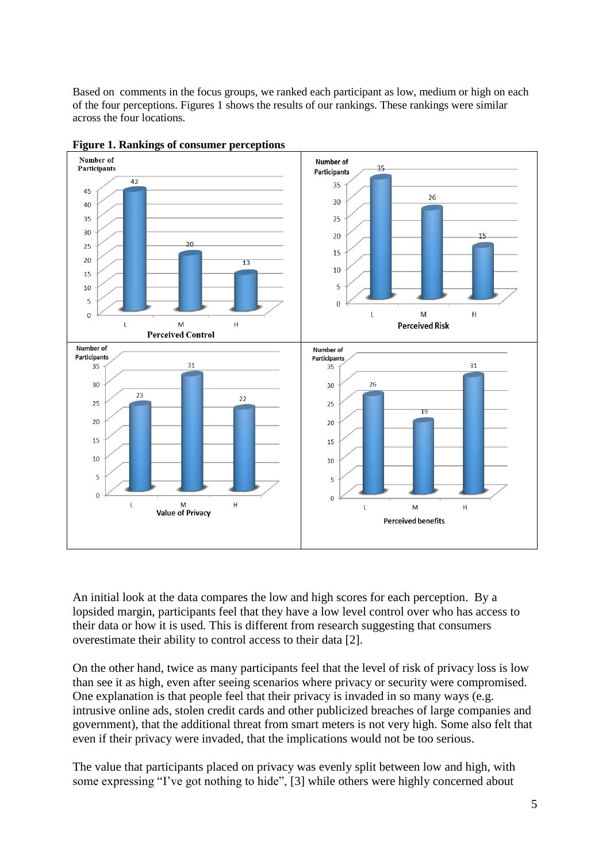Based on comments in the focus groups, we ranked each participant as low, medium or high on each of the four perceptions. Figures 1 shows the results of our rankings. These rankings were similar across the four locations.





An initial look at the data compares the low and high scores for each perception. By a lopsided margin, participants feel that they have a low level control over who has access to their data or how it is used. This is different from research suggesting that consumers overestimate their ability to control access to their data [2].

On the other hand, twice as many participants feel that the level of risk of privacy loss is low than see it as high, even after seeing scenarios where privacy or security were compromised. One explanation is that people feel that their privacy is invaded in so many ways (e.g. intrusive online ads, stolen credit cards and other publicized breaches of large companies and government), that the additional threat from smart meters is not very high. Some also felt that even if their privacy were invaded, that the implications would not be too serious.

The value that participants placed on privacy was evenly split between low and high, with some expressing "I've got nothing to hide", [3] while others were highly concerned about